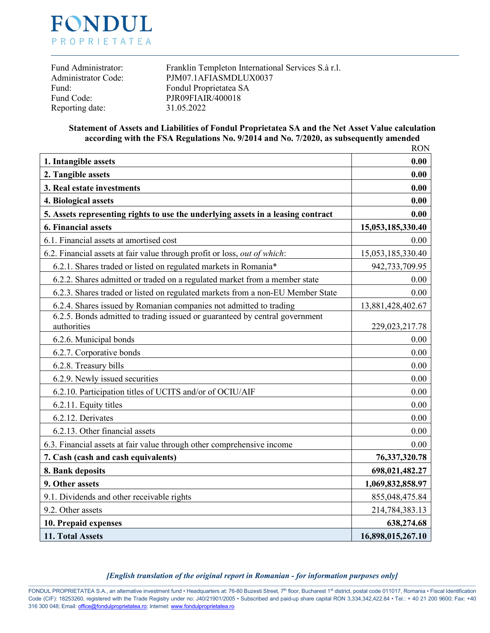

| Fund Administrator:        |  |
|----------------------------|--|
| <b>Administrator Code:</b> |  |
| Fund:                      |  |
| Fund Code:                 |  |
| Reporting date:            |  |

Franklin Templeton International Services S.à r.l. PJM07.1AFIASMDLUX0037 Fondul Proprietatea SA PJR09FIAIR/400018 Reporting date: 31.05.2022

## **Statement of Assets and Liabilities of Fondul Proprietatea SA and the Net Asset Value calculation according with the FSA Regulations No. 9/2014 and No. 7/2020, as subsequently amended**

|                                                                                            | <b>RON</b>        |
|--------------------------------------------------------------------------------------------|-------------------|
| 1. Intangible assets                                                                       | 0.00              |
| 2. Tangible assets                                                                         | 0.00              |
| 3. Real estate investments                                                                 | 0.00              |
| 4. Biological assets                                                                       | 0.00              |
| 5. Assets representing rights to use the underlying assets in a leasing contract           | 0.00              |
| <b>6. Financial assets</b>                                                                 | 15,053,185,330.40 |
| 6.1. Financial assets at amortised cost                                                    | 0.00              |
| 6.2. Financial assets at fair value through profit or loss, out of which:                  | 15,053,185,330.40 |
| 6.2.1. Shares traded or listed on regulated markets in Romania*                            | 942,733,709.95    |
| 6.2.2. Shares admitted or traded on a regulated market from a member state                 | 0.00              |
| 6.2.3. Shares traded or listed on regulated markets from a non-EU Member State             | 0.00              |
| 6.2.4. Shares issued by Romanian companies not admitted to trading                         | 13,881,428,402.67 |
| 6.2.5. Bonds admitted to trading issued or guaranteed by central government<br>authorities | 229,023,217.78    |
| 6.2.6. Municipal bonds                                                                     | 0.00              |
| 6.2.7. Corporative bonds                                                                   | 0.00              |
| 6.2.8. Treasury bills                                                                      | 0.00              |
| 6.2.9. Newly issued securities                                                             | 0.00              |
| 6.2.10. Participation titles of UCITS and/or of OCIU/AIF                                   | 0.00              |
| 6.2.11. Equity titles                                                                      | 0.00              |
| 6.2.12. Derivates                                                                          | 0.00              |
| 6.2.13. Other financial assets                                                             | 0.00              |
| 6.3. Financial assets at fair value through other comprehensive income                     | 0.00              |
| 7. Cash (cash and cash equivalents)                                                        | 76, 337, 320. 78  |
| 8. Bank deposits                                                                           | 698,021,482.27    |
| 9. Other assets                                                                            | 1,069,832,858.97  |
| 9.1. Dividends and other receivable rights                                                 | 855,048,475.84    |
| 9.2. Other assets                                                                          | 214,784,383.13    |
| 10. Prepaid expenses                                                                       | 638,274.68        |
| 11. Total Assets                                                                           | 16,898,015,267.10 |

#### *[English translation of the original report in Romanian - for information purposes only]* \_\_\_\_\_\_\_\_\_\_\_\_\_\_\_\_\_\_\_\_\_\_\_\_\_\_\_\_\_\_\_\_\_\_\_\_\_\_\_\_\_\_\_\_\_\_\_\_\_\_\_\_\_\_\_\_\_\_\_\_\_\_\_\_\_\_\_\_\_\_\_\_\_\_\_\_\_\_\_\_\_\_\_\_\_\_\_\_\_\_\_\_\_\_\_\_\_\_\_\_\_\_\_\_\_\_\_\_\_\_\_\_\_\_\_\_\_\_\_\_\_\_\_\_\_\_\_\_\_\_\_\_\_\_\_\_\_\_\_\_\_\_\_\_\_\_\_\_\_\_\_\_\_\_\_\_\_\_\_\_\_\_\_\_\_\_\_\_\_\_\_\_\_\_\_\_\_\_\_\_\_

FONDUL PROPRIETATEA S.A., an alternative investment fund • Headquarters at: 76-80 Buzesti Street, 7<sup>th</sup> floor, Bucharest 1<sup>st</sup> district, postal code 011017, Romania • Fiscal Identification Code (CIF): 18253260, registered with the Trade Registry under no: J40/21901/2005 • Subscribed and paid-up share capital RON 3,334,342,422.84 • Tel.: + 40 21 200 9600; Fax: +40 316 300 048; Email[: office@fondulproprietatea.ro;](mailto:office@fondulproprietatea.ro) Internet[: www.fondulproprietatea.ro](http://www.fondulproprietatea.ro/)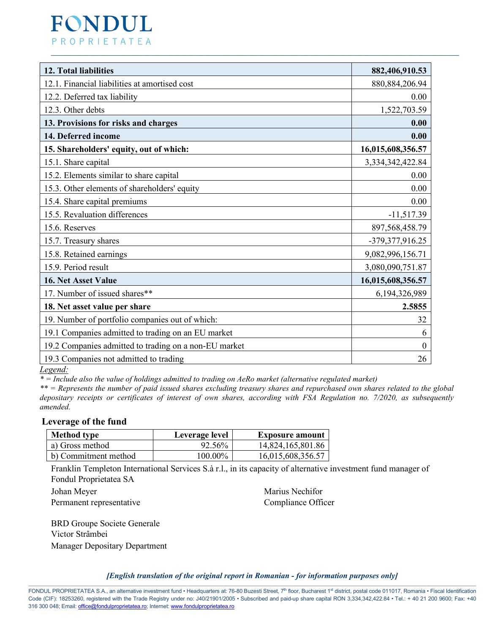# **FONDUL** PROPRIETATEA

| 12. Total liabilities                                 | 882,406,910.53    |
|-------------------------------------------------------|-------------------|
| 12.1. Financial liabilities at amortised cost         | 880, 884, 206. 94 |
| 12.2. Deferred tax liability                          | 0.00              |
| 12.3. Other debts                                     | 1,522,703.59      |
| 13. Provisions for risks and charges                  | 0.00              |
| 14. Deferred income                                   | 0.00              |
| 15. Shareholders' equity, out of which:               | 16,015,608,356.57 |
| 15.1. Share capital                                   | 3,334,342,422.84  |
| 15.2. Elements similar to share capital               | 0.00              |
| 15.3. Other elements of shareholders' equity          | 0.00              |
| 15.4. Share capital premiums                          | 0.00              |
| 15.5. Revaluation differences                         | $-11,517.39$      |
| 15.6. Reserves                                        | 897, 568, 458. 79 |
| 15.7. Treasury shares                                 | -379, 377, 916.25 |
| 15.8. Retained earnings                               | 9,082,996,156.71  |
| 15.9. Period result                                   | 3,080,090,751.87  |
| 16. Net Asset Value                                   | 16,015,608,356.57 |
| 17. Number of issued shares**                         | 6,194,326,989     |
| 18. Net asset value per share                         | 2.5855            |
| 19. Number of portfolio companies out of which:       | 32                |
| 19.1 Companies admitted to trading on an EU market    | 6                 |
| 19.2 Companies admitted to trading on a non-EU market | $\boldsymbol{0}$  |
| 19.3 Companies not admitted to trading                | 26                |

*Legend:*

*\* = Include also the value of holdings admitted to trading on AeRo market (alternative regulated market)*

*\*\* = Represents the number of paid issued shares excluding treasury shares and repurchased own shares related to the global depositary receipts or certificates of interest of own shares, according with FSA Regulation no. 7/2020, as subsequently amended.* 

## **Leverage of the fund**

| <b>Method type</b>   | Leverage level | <b>Exposure amount</b> |
|----------------------|----------------|------------------------|
| a) Gross method      | 92.56%         | 14,824,165,801.86      |
| b) Commitment method | $100.00\%$     | 16,015,608,356.57      |

Franklin Templeton International Services S.à r.l., in its capacity of alternative investment fund manager of Fondul Proprietatea SA

| Johan Meyer              | Marius Nechifor    |
|--------------------------|--------------------|
| Permanent representative | Compliance Officer |

BRD Groupe Societe Generale Victor Strâmbei Manager Depositary Department

*[English translation of the original report in Romanian - for information purposes only]* \_\_\_\_\_\_\_\_\_\_\_\_\_\_\_\_\_\_\_\_\_\_\_\_\_\_\_\_\_\_\_\_\_\_\_\_\_\_\_\_\_\_\_\_\_\_\_\_\_\_\_\_\_\_\_\_\_\_\_\_\_\_\_\_\_\_\_\_\_\_\_\_\_\_\_\_\_\_\_\_\_\_\_\_\_\_\_\_\_\_\_\_\_\_\_\_\_\_\_\_\_\_\_\_\_\_\_\_\_\_\_\_\_\_\_\_\_\_\_\_\_\_\_\_\_\_\_\_\_\_\_\_\_\_\_\_\_\_\_\_\_\_\_\_\_\_\_\_\_\_\_\_\_\_\_\_\_\_\_\_\_\_\_\_\_\_\_\_\_\_\_\_\_\_\_\_\_\_\_\_\_

FONDUL PROPRIETATEA S.A., an alternative investment fund • Headquarters at: 76-80 Buzesti Street, 7<sup>th</sup> floor, Bucharest 1<sup>st</sup> district, postal code 011017, Romania • Fiscal Identification Code (CIF): 18253260, registered with the Trade Registry under no: J40/21901/2005 • Subscribed and paid-up share capital RON 3,334,342,422.84 • Tel.: + 40 21 200 9600; Fax: +40 316 300 048; Email[: office@fondulproprietatea.ro;](mailto:office@fondulproprietatea.ro) Internet[: www.fondulproprietatea.ro](http://www.fondulproprietatea.ro/)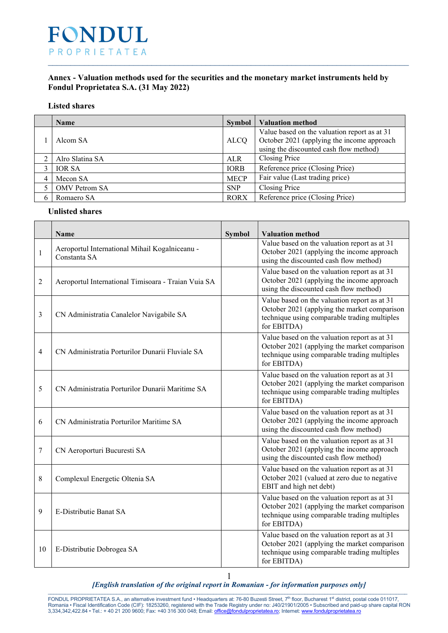

# **Annex - Valuation methods used for the securities and the monetary market instruments held by Fondul Proprietatea S.A. (31 May 2022)**

### **Listed shares**

| <b>Name</b>     | <b>Symbol</b> | <b>Valuation method</b>                                                                                                              |
|-----------------|---------------|--------------------------------------------------------------------------------------------------------------------------------------|
| Alcom SA        | <b>ALCO</b>   | Value based on the valuation report as at 31<br>October 2021 (applying the income approach<br>using the discounted cash flow method) |
| Alro Slatina SA | <b>ALR</b>    | Closing Price                                                                                                                        |
| <b>IOR SA</b>   | <b>IORB</b>   | Reference price (Closing Price)                                                                                                      |
| Mecon SA        | <b>MECP</b>   | Fair value (Last trading price)                                                                                                      |
| OMV Petrom SA   | <b>SNP</b>    | Closing Price                                                                                                                        |
| Romaero SA      | <b>RORX</b>   | Reference price (Closing Price)                                                                                                      |

# **Unlisted shares**

|                | Name                                                           | <b>Symbol</b> | <b>Valuation method</b>                                                                                                                                     |
|----------------|----------------------------------------------------------------|---------------|-------------------------------------------------------------------------------------------------------------------------------------------------------------|
| 1              | Aeroportul International Mihail Kogalniceanu -<br>Constanta SA |               | Value based on the valuation report as at 31<br>October 2021 (applying the income approach<br>using the discounted cash flow method)                        |
| $\overline{2}$ | Aeroportul International Timisoara - Traian Vuia SA            |               | Value based on the valuation report as at 31<br>October 2021 (applying the income approach<br>using the discounted cash flow method)                        |
| 3              | CN Administratia Canalelor Navigabile SA                       |               | Value based on the valuation report as at 31<br>October 2021 (applying the market comparison<br>technique using comparable trading multiples<br>for EBITDA) |
| 4              | CN Administratia Porturilor Dunarii Fluviale SA                |               | Value based on the valuation report as at 31<br>October 2021 (applying the market comparison<br>technique using comparable trading multiples<br>for EBITDA) |
| 5              | CN Administratia Porturilor Dunarii Maritime SA                |               | Value based on the valuation report as at 31<br>October 2021 (applying the market comparison<br>technique using comparable trading multiples<br>for EBITDA) |
| 6              | CN Administratia Porturilor Maritime SA                        |               | Value based on the valuation report as at 31<br>October 2021 (applying the income approach<br>using the discounted cash flow method)                        |
| 7              | CN Aeroporturi Bucuresti SA                                    |               | Value based on the valuation report as at 31<br>October 2021 (applying the income approach<br>using the discounted cash flow method)                        |
| 8              | Complexul Energetic Oltenia SA                                 |               | Value based on the valuation report as at 31<br>October 2021 (valued at zero due to negative<br>EBIT and high net debt)                                     |
| 9              | E-Distributie Banat SA                                         |               | Value based on the valuation report as at 31<br>October 2021 (applying the market comparison<br>technique using comparable trading multiples<br>for EBITDA) |
| 10             | E-Distributie Dobrogea SA                                      |               | Value based on the valuation report as at 31<br>October 2021 (applying the market comparison<br>technique using comparable trading multiples<br>for EBITDA) |

*[English translation of the original report in Romanian - for information purposes only]* \_\_\_\_\_\_\_\_\_\_\_\_\_\_\_\_\_\_\_\_\_\_\_\_\_\_\_\_\_\_\_\_\_\_\_\_\_\_\_\_\_\_\_\_\_\_\_\_\_\_\_\_\_\_\_\_\_\_\_\_\_\_\_\_\_\_\_\_\_\_\_\_\_\_\_\_\_\_\_\_\_\_\_\_\_\_\_\_\_\_\_\_\_\_\_\_\_\_\_\_\_\_\_\_\_\_\_\_\_\_\_\_\_\_\_\_\_\_\_\_\_\_\_\_\_\_ 1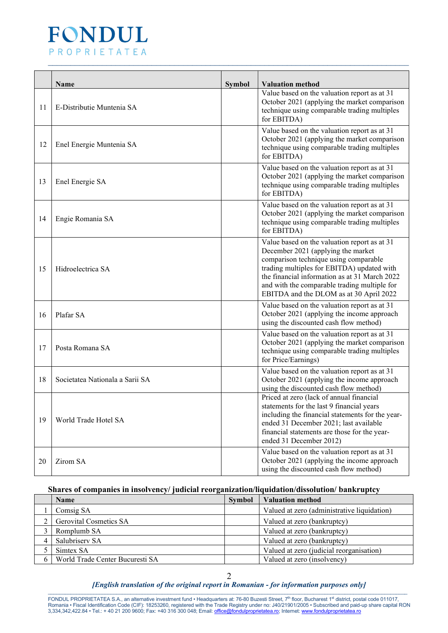

|    | <b>Name</b>                     | <b>Symbol</b> | <b>Valuation method</b>                                                                                                                                                                                                                                                                                               |
|----|---------------------------------|---------------|-----------------------------------------------------------------------------------------------------------------------------------------------------------------------------------------------------------------------------------------------------------------------------------------------------------------------|
| 11 | E-Distributie Muntenia SA       |               | Value based on the valuation report as at 31<br>October 2021 (applying the market comparison<br>technique using comparable trading multiples<br>for EBITDA)                                                                                                                                                           |
| 12 | Enel Energie Muntenia SA        |               | Value based on the valuation report as at 31<br>October 2021 (applying the market comparison<br>technique using comparable trading multiples<br>for EBITDA)                                                                                                                                                           |
| 13 | Enel Energie SA                 |               | Value based on the valuation report as at 31<br>October 2021 (applying the market comparison<br>technique using comparable trading multiples<br>for EBITDA)                                                                                                                                                           |
| 14 | Engie Romania SA                |               | Value based on the valuation report as at 31<br>October 2021 (applying the market comparison<br>technique using comparable trading multiples<br>for EBITDA)                                                                                                                                                           |
| 15 | Hidroelectrica SA               |               | Value based on the valuation report as at 31<br>December 2021 (applying the market<br>comparison technique using comparable<br>trading multiples for EBITDA) updated with<br>the financial information as at 31 March 2022<br>and with the comparable trading multiple for<br>EBITDA and the DLOM as at 30 April 2022 |
| 16 | Plafar SA                       |               | Value based on the valuation report as at 31<br>October 2021 (applying the income approach<br>using the discounted cash flow method)                                                                                                                                                                                  |
| 17 | Posta Romana SA                 |               | Value based on the valuation report as at 31<br>October 2021 (applying the market comparison<br>technique using comparable trading multiples<br>for Price/Earnings)                                                                                                                                                   |
| 18 | Societatea Nationala a Sarii SA |               | Value based on the valuation report as at 31<br>October 2021 (applying the income approach<br>using the discounted cash flow method)                                                                                                                                                                                  |
| 19 | World Trade Hotel SA            |               | Priced at zero (lack of annual financial<br>statements for the last 9 financial years<br>including the financial statements for the year-<br>ended 31 December 2021; last available<br>financial statements are those for the year-<br>ended 31 December 2012)                                                        |
| 20 | Zirom SA                        |               | Value based on the valuation report as at 31<br>October 2021 (applying the income approach<br>using the discounted cash flow method)                                                                                                                                                                                  |

# **Shares of companies in insolvency/ judicial reorganization/liquidation/dissolution/ bankruptcy**

| <b>Name</b>                     | <b>Symbol</b> | <b>Valuation method</b>                     |
|---------------------------------|---------------|---------------------------------------------|
| Comsig SA                       |               | Valued at zero (administrative liquidation) |
| <b>Gerovital Cosmetics SA</b>   |               | Valued at zero (bankruptcy)                 |
| Romplumb SA                     |               | Valued at zero (bankruptcy)                 |
| Salubrisery SA                  |               | Valued at zero (bankruptcy)                 |
| Simtex SA                       |               | Valued at zero (judicial reorganisation)    |
| World Trade Center Bucuresti SA |               | Valued at zero (insolvency)                 |

#### *[English translation of the original report in Romanian - for information purposes only]* \_\_\_\_\_\_\_\_\_\_\_\_\_\_\_\_\_\_\_\_\_\_\_\_\_\_\_\_\_\_\_\_\_\_\_\_\_\_\_\_\_\_\_\_\_\_\_\_\_\_\_\_\_\_\_\_\_\_\_\_\_\_\_\_\_\_\_\_\_\_\_\_\_\_\_\_\_\_\_\_\_\_\_\_\_\_\_\_\_\_\_\_\_\_\_\_\_\_\_\_\_\_\_\_\_\_\_\_\_\_\_\_\_\_\_\_\_\_\_\_\_\_\_\_\_\_

FONDUL PROPRIETATEA S.A., an alternative investment fund • Headquarters at: 76-80 Buzesti Street, 7<sup>th</sup> floor, Bucharest 1<sup>st</sup> district, postal code 011017, Romania • Fiscal Identification Code (CIF): 18253260, registered with the Trade Registry under no: J40/21901/2005 • Subscribed and paid-up share capital RON 3,334,342,422.84 • Tel.: + 40 21 200 9600; Fax: +40 316 300 048; Email[: office@fondulproprietatea.ro;](mailto:office@fondulproprietatea.ro) Internet[: www.fondulproprietatea.ro](http://www.fondulproprietatea.ro/)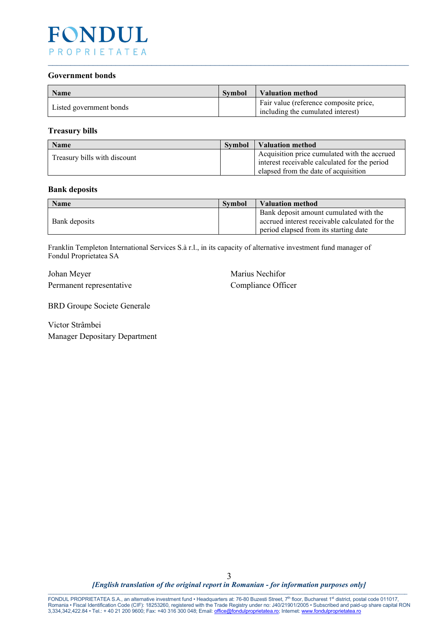

#### **Government bonds**

| <b>Name</b>             | <b>Symbol</b> | <b>Valuation method</b>                                                     |
|-------------------------|---------------|-----------------------------------------------------------------------------|
| Listed government bonds |               | Fair value (reference composite price,<br>including the cumulated interest) |

 $\_$  , and the set of the set of the set of the set of the set of the set of the set of the set of the set of the set of the set of the set of the set of the set of the set of the set of the set of the set of the set of th

### **Treasury bills**

| Name                         | <b>Symbol</b> | Valuation method                                                                                                                      |
|------------------------------|---------------|---------------------------------------------------------------------------------------------------------------------------------------|
| Treasury bills with discount |               | Acquisition price cumulated with the accrued<br>interest receivable calculated for the period<br>elapsed from the date of acquisition |

#### **Bank deposits**

| <b>Name</b>   | <b>Symbol</b> | <b>Valuation method</b>                                                                  |
|---------------|---------------|------------------------------------------------------------------------------------------|
| Bank deposits |               | Bank deposit amount cumulated with the<br>accrued interest receivable calculated for the |
|               |               | period elapsed from its starting date                                                    |

Franklin Templeton International Services S.à r.l., in its capacity of alternative investment fund manager of Fondul Proprietatea SA

Johan Meyer Marius Nechifor Permanent representative Compliance Officer

BRD Groupe Societe Generale

Victor Strâmbei Manager Depositary Department